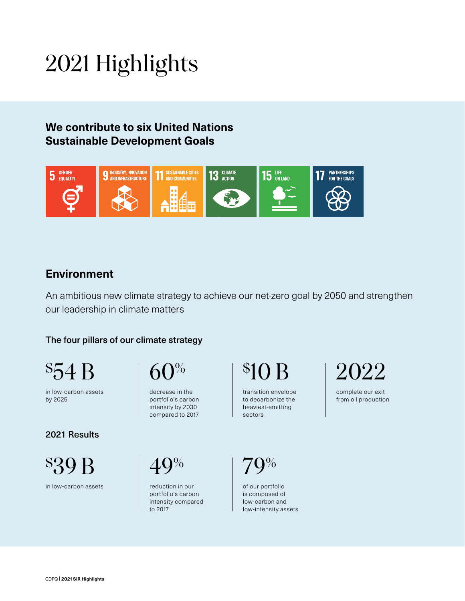# 2021 Highlights

## **We contribute to six United Nations Sustainable Development Goals**



### **Environment**

An ambitious new climate strategy to achieve our net-zero goal by 2050 and strengthen our leadership in climate matters

#### The four pillars of our climate strategy

 $\$54$ 

in low-carbon assets by 2025

#### 2021 Results

\$39 B

in low-carbon assets

 $60\%$ 

decrease in the portfolio's carbon intensity by 2030 compared to 2017

 $40%$ 

to 2017

reduction in our portfolio's carbon intensity compared \$10 B

transition envelope to decarbonize the heaviest-emitting sectors

79%

of our portfolio is composed of low-carbon and low-intensity assets 2022

complete our exit from oil production

CDPQ | **2021 SIR Highlights**